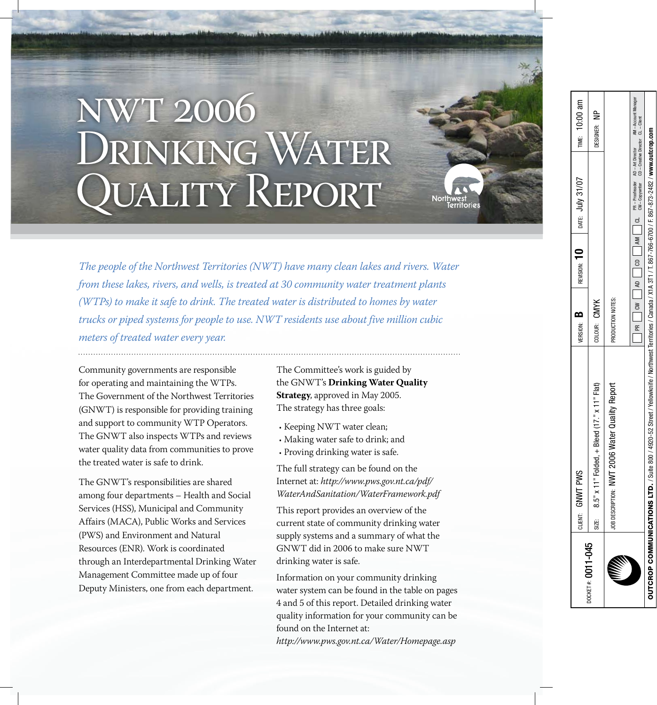# nwt 2006 DRINKING WATER JUALITY REPORT

*The people of the Northwest Territories (NWT) have many clean lakes and rivers. Water from these lakes, rivers, and wells, is treated at 30 community water treatment plants (WTPs) to make it safe to drink. The treated water is distributed to homes by water trucks or piped systems for people to use. NWT residents use about five million cubic meters of treated water every year.*

Community governments are responsible for operating and maintaining the WTPs. The Government of the Northwest Territories (GNWT) is responsible for providing training and support to community WTP Operators. The GNWT also inspects WTPs and reviews water quality data from communities to prove the treated water is safe to drink.

The GNWT's responsibilities are shared among four departments – Health and Social Services (HSS), Municipal and Community Affairs (MACA), Public Works and Services (PWS) and Environment and Natural Resources (ENR). Work is coordinated through an Interdepartmental Drinking Water Management Committee made up of four Deputy Ministers, one from each department.

The Committee's work is guided by the GNWT's **Drinking Water Quality Strategy**, approved in May 2005. The strategy has three goals:

- $\boldsymbol{\cdot}$  Keeping NWT water clean;
- Making water safe to drink; and •
- Proving drinking water is safe.

The full strategy can be found on the Internet at: *http://www.pws.gov.nt.ca/pdf/ WaterAndSanitation/WaterFramework.pdf*

This report provides an overview of the current state of community drinking water supply systems and a summary of what the GNWT did in 2006 to make sure NWT drinking water is safe.

Information on your community drinking water system can be found in the table on pages 4 and 5 of this report. Detailed drinking water quality information for your community can be found on the Internet at: *http://www.pws.gov.nt.ca/Water/Homepage.asp*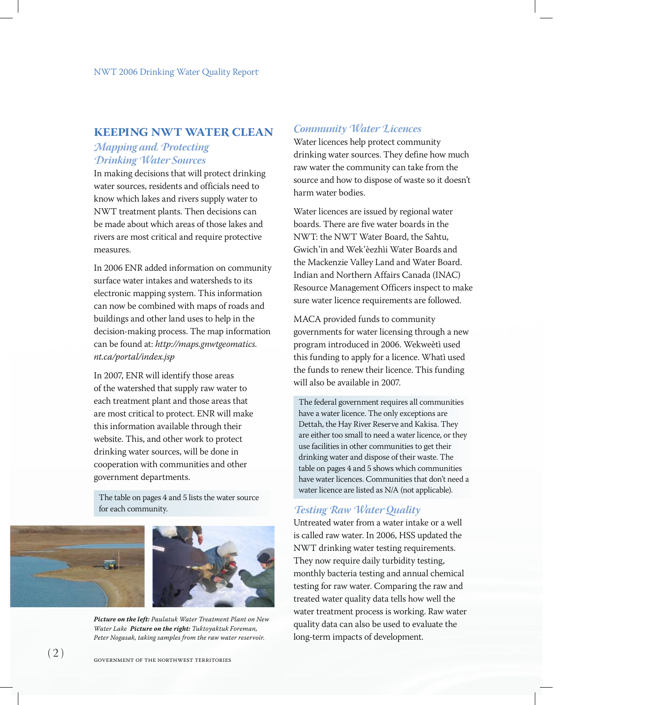# **KEEPING NWT WATER CLEAN**

#### *Mapping and Protecting Drinking Water Sources*

In making decisions that will protect drinking water sources, residents and officials need to know which lakes and rivers supply water to NWT treatment plants. Then decisions can be made about which areas of those lakes and rivers are most critical and require protective measures.

In 2006 ENR added information on community surface water intakes and watersheds to its electronic mapping system. This information can now be combined with maps of roads and buildings and other land uses to help in the decision-making process. The map information can be found at: *http://maps.gnwtgeomatics. nt.ca/portal/index.jsp*

In 2007, ENR will identify those areas of the watershed that supply raw water to each treatment plant and those areas that are most critical to protect. ENR will make this information available through their website. This, and other work to protect drinking water sources, will be done in cooperation with communities and other government departments.

The table on pages 4 and 5 lists the water source for each community.



*Picture on the left: Paulatuk Water Treatment Plant on New Water Lake Picture on the right: Tuktoyaktuk Foreman, Peter Nogasak, taking samples from the raw water reservoir.*

# *Community Water Licences*

Water licences help protect community drinking water sources. They define how much raw water the community can take from the source and how to dispose of waste so it doesn't harm water bodies.

Water licences are issued by regional water boards. There are five water boards in the NWT: the NWT Water Board, the Sahtu, Gwich'in and Wek'èezhìi Water Boards and the Mackenzie Valley Land and Water Board. Indian and Northern Affairs Canada (INAC) Resource Management Officers inspect to make sure water licence requirements are followed.

MACA provided funds to community governments for water licensing through a new program introduced in 2006. Wekweètì used this funding to apply for a licence. Whatì used the funds to renew their licence. This funding will also be available in 2007.

The federal government requires all communities have a water licence. The only exceptions are Dettah, the Hay River Reserve and Kakisa. They are either too small to need a water licence, or they use facilities in other communities to get their drinking water and dispose of their waste. The table on pages 4 and 5 shows which communities have water licences. Communities that don't need a water licence are listed as N/A (not applicable).

# *Testing Raw Water Quality*

Untreated water from a water intake or a well is called raw water. In 2006, HSS updated the NWT drinking water testing requirements. They now require daily turbidity testing, monthly bacteria testing and annual chemical testing for raw water. Comparing the raw and treated water quality data tells how well the water treatment process is working. Raw water quality data can also be used to evaluate the long-term impacts of development.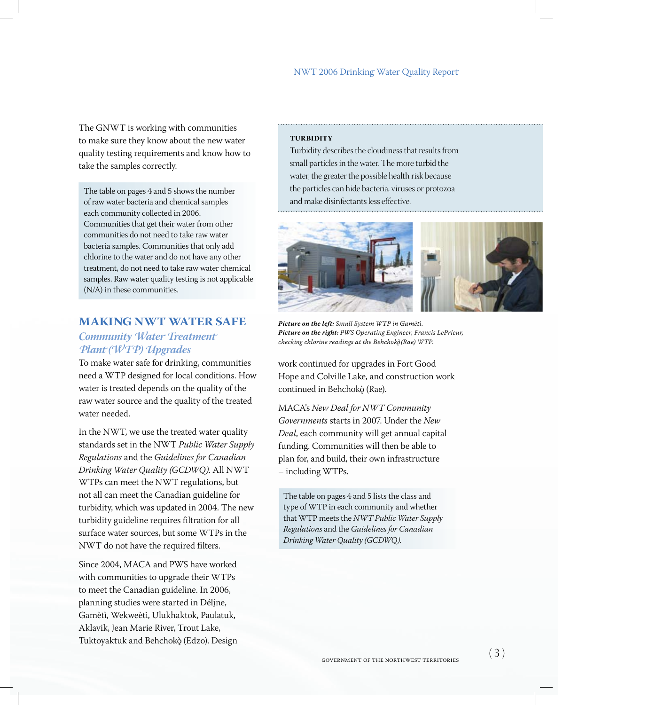The GNWT is working with communities to make sure they know about the new water quality testing requirements and know how to take the samples correctly.

The table on pages 4 and 5 shows the number of raw water bacteria and chemical samples each community collected in 2006. Communities that get their water from other communities do not need to take raw water bacteria samples. Communities that only add chlorine to the water and do not have any other treatment, do not need to take raw water chemical samples. Raw water quality testing is not applicable (N/A) in these communities.

#### **Making NWT Water Safe**

# *Community Water Treatment Plant (WTP) Upgrades*

To make water safe for drinking, communities need a WTP designed for local conditions. How water is treated depends on the quality of the raw water source and the quality of the treated water needed.

In the NWT, we use the treated water quality standards set in the NWT *Public Water Supply Regulations* and the *Guidelines for Canadian Drinking Water Quality (GCDWQ)*. All NWT WTPs can meet the NWT regulations, but not all can meet the Canadian guideline for turbidity, which was updated in 2004. The new turbidity guideline requires filtration for all surface water sources, but some WTPs in the NWT do not have the required filters.

Since 2004, MACA and PWS have worked with communities to upgrade their WTPs to meet the Canadian guideline. In 2006, planning studies were started in Délįne, Gamètì, Wekweètì, Ulukhaktok, Paulatuk, Aklavik, Jean Marie River, Trout Lake, Tuktoyaktuk and Behchokò (Edzo). Design

#### **Turbidity**

Turbidity describes the cloudiness that results from small particles in the water. The more turbid the water, the greater the possible health risk because the particles can hide bacteria, viruses or protozoa and make disinfectants less effective.



*Picture on the left: Small System WTP in Gamètì. Picture on the right: PWS Operating Engineer, Francis LePrieur, checking chlorine readings at the Behchokò* (Rae) WTP.

work continued for upgrades in Fort Good Hope and Colville Lake, and construction work continued in Behchokò (Rae).

MACA's *New Deal for NWT Community Governments* starts in 2007. Under the *New Deal*, each community will get annual capital funding. Communities will then be able to plan for, and build, their own infrastructure – including WTPs.

The table on pages 4 and 5 lists the class and type of WTP in each community and whether that WTP meets the *NWT Public Water Supply Regulations* and the *Guidelines for Canadian Drinking Water Quality (GCDWQ).*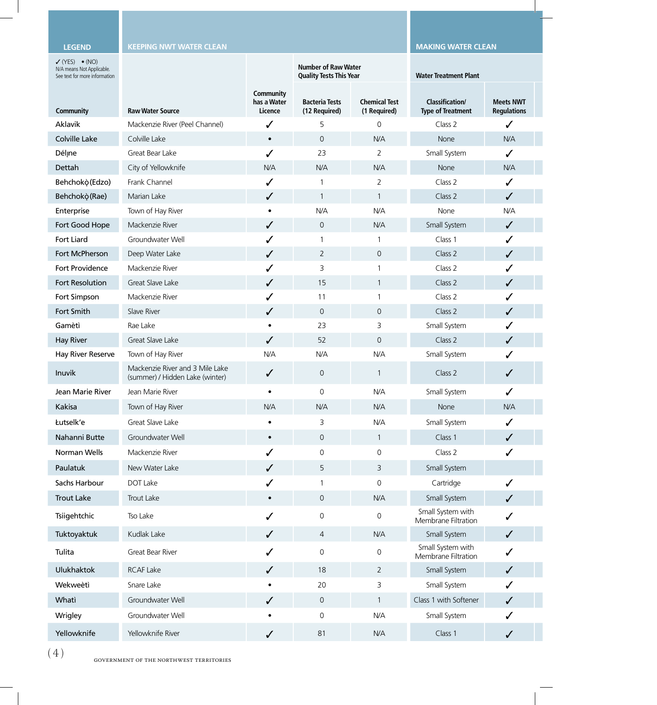#### **Legend**

**KEEPING NWT WATER CLEAN MAKING WATER CLEAN MAKING MAKING MAKING MAKING MAKING** 

| $V(YES) \bullet (NO)$<br>N/A means Not Applicable.<br>See text for more information |                                                                    |                                     | <b>Number of Raw Water</b><br><b>Quality Tests This Year</b> |                                      | <b>Water Treatment Plant</b>                       |                                        |
|-------------------------------------------------------------------------------------|--------------------------------------------------------------------|-------------------------------------|--------------------------------------------------------------|--------------------------------------|----------------------------------------------------|----------------------------------------|
| <b>Community</b>                                                                    | <b>Raw Water Source</b>                                            | Community<br>has a Water<br>Licence | <b>Bacteria Tests</b><br>(12 Required)                       | <b>Chemical Test</b><br>(1 Required) | <b>Classification/</b><br><b>Type of Treatment</b> | <b>Meets NWT</b><br><b>Regulations</b> |
| Aklavik                                                                             | Mackenzie River (Peel Channel)                                     | $\checkmark$                        | 5                                                            | $\overline{0}$                       | Class 2                                            |                                        |
| Colville Lake                                                                       | Colville Lake                                                      | $\bullet$                           | $\overline{0}$                                               | N/A                                  | None                                               | N/A                                    |
| Délįne                                                                              | Great Bear Lake                                                    | $\checkmark$                        | 23                                                           | $\overline{2}$                       | Small System                                       | $\checkmark$                           |
| Dettah                                                                              | City of Yellowknife                                                | N/A                                 | <b>N/A</b>                                                   | N/A                                  | None                                               | N/A                                    |
| Behchokò (Edzo)                                                                     | Frank Channel                                                      |                                     | $\overline{1}$                                               | $\overline{2}$                       | Class 2                                            | ✓                                      |
| Behchokò(Rae)                                                                       | Marian Lake                                                        | $\checkmark$                        | $\overline{1}$                                               |                                      | Class 2                                            | $\checkmark$                           |
| Enterprise                                                                          | Town of Hay River                                                  | $\bullet$                           | <b>N/A</b>                                                   | N/A                                  | None                                               | N/A                                    |
| Fort Good Hope                                                                      | Mackenzie River                                                    | $\checkmark$                        | $\overline{0}$                                               | N/A                                  | Small System                                       | $\checkmark$                           |
| Fort Liard                                                                          | Groundwater Well                                                   |                                     |                                                              |                                      | Class 1                                            | ✓                                      |
| Fort McPherson                                                                      | Deep Water Lake                                                    | $\checkmark$                        | $\overline{2}$                                               | $\overline{0}$                       | Class 2                                            | $\checkmark$                           |
| Fort Providence                                                                     | Mackenzie River                                                    |                                     | 3                                                            |                                      | Class 2                                            | ✓                                      |
| Fort Resolution                                                                     | Great Slave Lake                                                   | $\checkmark$                        | 15                                                           |                                      | Class 2                                            | $\checkmark$                           |
| Fort Simpson                                                                        | Mackenzie River                                                    |                                     | 11                                                           |                                      | Class 2                                            |                                        |
| Fort Smith                                                                          | Slave River                                                        | $\checkmark$                        | $\overline{0}$                                               | $\overline{0}$                       | Class 2                                            | $\checkmark$                           |
| Gamètì                                                                              | Rae Lake                                                           | $\bullet$                           | 23                                                           | 3                                    | Small System                                       | ✓                                      |
| <b>Hay River</b>                                                                    | Great Slave Lake                                                   | $\checkmark$                        | 52                                                           | $\overline{0}$                       | Class 2                                            | $\checkmark$                           |
| <b>Hay River Reserve</b>                                                            | Town of Hay River                                                  | N/A                                 | <b>N/A</b>                                                   | N/A                                  | Small System                                       | ✓                                      |
| Inuvik                                                                              | Mackenzie River and 3 Mile Lake<br>(summer) / Hidden Lake (winter) | $\checkmark$                        | $\overline{0}$                                               |                                      | Class 2                                            | $\checkmark$                           |
| Jean Marie River                                                                    | Jean Marie River                                                   | $\bullet$                           | $\overline{0}$                                               | N/A                                  | Small System                                       | $\checkmark$                           |
| Kakisa                                                                              | Town of Hay River                                                  | N/A                                 | <b>N/A</b>                                                   | N/A                                  | None                                               | N/A                                    |
| Łutselk'e                                                                           | Great Slave Lake                                                   | $\bullet$                           | 3                                                            | N/A                                  | Small System                                       |                                        |
| Nahanni Butte                                                                       | Groundwater Well                                                   |                                     | $\overline{0}$                                               | $\overline{1}$                       | Class 1                                            | $\sqrt{2}$                             |
| Norman Wells                                                                        | Mackenzie River                                                    |                                     | $\overline{0}$                                               | $\overline{0}$                       | Class 2                                            | ✓                                      |
| Paulatuk                                                                            | New Water Lake                                                     | $\checkmark$                        | 5 <sub>1</sub>                                               | $\overline{3}$                       | Small System                                       |                                        |
| Sachs Harbour                                                                       | DOT Lake                                                           |                                     | $\overline{1}$                                               | $\overline{0}$                       | Cartridge                                          | $\checkmark$                           |
| <b>Trout Lake</b>                                                                   | Trout Lake                                                         | $\bullet$                           | $\overline{0}$                                               | N/A                                  | Small System                                       | $\checkmark$                           |
| Tsiigehtchic                                                                        | Tso Lake                                                           | $\checkmark$                        | $\overline{0}$                                               | $\overline{0}$                       | Small System with<br>Membrane Filtration           | $\checkmark$                           |
| Tuktoyaktuk                                                                         | Kudlak Lake                                                        | $\checkmark$                        | $\overline{4}$                                               | N/A                                  | Small System                                       | $\checkmark$                           |
| Tulita                                                                              | Great Bear River                                                   | $\checkmark$                        | $\overline{0}$                                               | $\overline{0}$                       | Small System with<br>Membrane Filtration           | $\checkmark$                           |
| Ulukhaktok                                                                          | <b>RCAF Lake</b>                                                   | $\checkmark$                        | 18                                                           | $\overline{2}$                       | Small System                                       | $\checkmark$                           |
| Wekweètì                                                                            | Snare Lake                                                         | $\bullet$                           | 20                                                           | $\mathsf{3}$                         | Small System                                       | $\checkmark$                           |
| Whati                                                                               | Groundwater Well                                                   | $\checkmark$                        | $\overline{0}$                                               | $\overline{1}$                       | Class 1 with Softener                              | $\checkmark$                           |
| Wrigley                                                                             | Groundwater Well                                                   | $\bullet$                           | $\overline{0}$                                               | N/A                                  | Small System                                       | $\checkmark$                           |
| Yellowknife                                                                         | Yellowknife River                                                  |                                     | 81                                                           | N/A                                  | Class 1                                            |                                        |
|                                                                                     |                                                                    | $\checkmark$                        |                                                              |                                      |                                                    | $\checkmark$                           |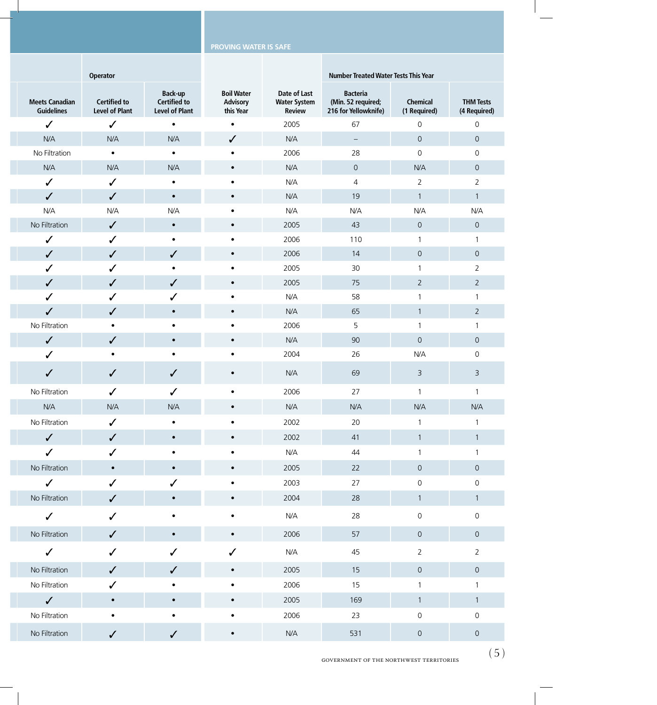| Operator                                     |                                                                                                                                  |                                                                     |                                                      | <b>Number Treated Water Tests This Year</b>                                      |                                                    |                                                                                                                                   |  |
|----------------------------------------------|----------------------------------------------------------------------------------------------------------------------------------|---------------------------------------------------------------------|------------------------------------------------------|----------------------------------------------------------------------------------|----------------------------------------------------|-----------------------------------------------------------------------------------------------------------------------------------|--|
| <b>Certified to</b><br><b>Level of Plant</b> | <b>Back-up</b><br>Certified to<br><b>Level of Plant</b>                                                                          | <b>Boil Water</b><br><b>Advisory</b><br>this Year                   | Date of Last<br><b>Water System</b><br><b>Review</b> | <b>Bacteria</b><br>(Min. 52 required;<br>216 for Yellowknife)                    | Chemical<br>(1 Required)                           | <b>THM Tests</b><br>(4 Required)                                                                                                  |  |
| $\checkmark$                                 | $\bullet$                                                                                                                        | $\bullet$                                                           | 2005                                                 | 67                                                                               | $\overline{0}$                                     | $\overline{0}$                                                                                                                    |  |
| N/A                                          | N/A                                                                                                                              | $\checkmark$                                                        | N/A                                                  | $ \,$                                                                            | $\mathsf{O}$                                       | $\overline{0}$                                                                                                                    |  |
| $\bullet$                                    | $\bullet$                                                                                                                        | $\bullet$                                                           | 2006                                                 | 28                                                                               | $\overline{0}$                                     | $\overline{0}$                                                                                                                    |  |
| N/A                                          | <b>N/A</b>                                                                                                                       | $\bullet$                                                           | <b>N/A</b>                                           | $\mathsf{O}$                                                                     | N/A                                                | $\overline{0}$                                                                                                                    |  |
| $\checkmark$                                 | $\bullet$                                                                                                                        | $\bullet$                                                           | N/A                                                  | $\overline{4}$                                                                   | $2^{\circ}$                                        | $\overline{2}$                                                                                                                    |  |
| $\checkmark$                                 | $\bullet$                                                                                                                        | $\bullet$                                                           | <b>N/A</b>                                           | 19                                                                               | $\overline{1}$                                     | $\overline{1}$                                                                                                                    |  |
|                                              | <b>N/A</b>                                                                                                                       | $\bullet$                                                           | N/A                                                  | N/A                                                                              | N/A                                                | <b>N/A</b>                                                                                                                        |  |
| $\checkmark$                                 | $\bullet$                                                                                                                        | $\bullet$                                                           |                                                      | 43                                                                               | $\mathsf{O}$                                       | $\overline{0}$                                                                                                                    |  |
|                                              | $\bullet$                                                                                                                        | $\bullet$                                                           |                                                      |                                                                                  | $\overline{1}$                                     |                                                                                                                                   |  |
|                                              |                                                                                                                                  | $\bullet$                                                           |                                                      |                                                                                  |                                                    | $\circ$                                                                                                                           |  |
|                                              |                                                                                                                                  | $\bullet$                                                           |                                                      |                                                                                  |                                                    | $\overline{2}$                                                                                                                    |  |
|                                              |                                                                                                                                  |                                                                     |                                                      |                                                                                  |                                                    | $\overline{2}$                                                                                                                    |  |
|                                              |                                                                                                                                  |                                                                     |                                                      |                                                                                  |                                                    | $\overline{2}$                                                                                                                    |  |
|                                              | $\bullet$                                                                                                                        | $\bullet$                                                           |                                                      |                                                                                  |                                                    |                                                                                                                                   |  |
|                                              | $\bullet$                                                                                                                        | $\bullet$                                                           |                                                      |                                                                                  |                                                    | $\overline{0}$                                                                                                                    |  |
| $\bullet$                                    | $\bullet$                                                                                                                        | $\bullet$                                                           |                                                      |                                                                                  |                                                    | $\mathsf{O}$                                                                                                                      |  |
| $\checkmark$                                 | $\checkmark$                                                                                                                     | $\bullet$                                                           | <b>N/A</b>                                           | 69                                                                               | $\overline{3}$                                     | $\overline{3}$                                                                                                                    |  |
| $\checkmark$                                 | $\checkmark$                                                                                                                     | $\bullet$                                                           | 2006                                                 | 27                                                                               | $\overline{1}$                                     | $\overline{\phantom{0}}$                                                                                                          |  |
| N/A                                          | N/A                                                                                                                              | $\bullet$                                                           | <b>N/A</b>                                           | <b>N/A</b>                                                                       | N/A                                                | N/A                                                                                                                               |  |
| $\checkmark$                                 | $\bullet$                                                                                                                        | $\bullet$                                                           | 2002                                                 | 20                                                                               | $\overline{1}$                                     |                                                                                                                                   |  |
| $\checkmark$                                 | $\bullet$                                                                                                                        | $\bullet$                                                           | 2002                                                 | 41                                                                               | $\overline{1}$                                     |                                                                                                                                   |  |
|                                              |                                                                                                                                  |                                                                     | N/A                                                  | 44                                                                               |                                                    |                                                                                                                                   |  |
| $\bullet$                                    | $\bullet$                                                                                                                        | $\bullet$                                                           | 2005                                                 | 22                                                                               | $\mathsf{O}$                                       | $\overline{0}$                                                                                                                    |  |
| $\checkmark$                                 |                                                                                                                                  | $\bullet$                                                           | 2003                                                 | 27                                                                               | $\overline{0}$                                     | $\mathsf 0$                                                                                                                       |  |
| $\checkmark$                                 | $\bullet$                                                                                                                        | $\bullet$                                                           | 2004                                                 | 28                                                                               | $\overline{1}$                                     | $\overline{1}$                                                                                                                    |  |
| $\checkmark$                                 | $\bullet$                                                                                                                        | $\bullet$                                                           | <b>N/A</b>                                           | 28                                                                               | $\overline{0}$                                     | $\overline{0}$                                                                                                                    |  |
| $\checkmark$                                 | $\bullet$                                                                                                                        | $\bullet$                                                           | 2006                                                 | 57                                                                               | $\overline{0}$                                     | $\overline{0}$                                                                                                                    |  |
| $\checkmark$                                 | $\checkmark$                                                                                                                     | $\checkmark$                                                        | N/A                                                  | 45                                                                               | $2\overline{ }$                                    | $\overline{2}$                                                                                                                    |  |
| $\checkmark$                                 | $\checkmark$                                                                                                                     | $\bullet$                                                           | 2005                                                 | 15                                                                               | $\overline{0}$                                     | $\overline{0}$                                                                                                                    |  |
| $\checkmark$                                 | $\bullet$                                                                                                                        | $\bullet$                                                           | 2006                                                 | 15                                                                               | $\overline{1}$                                     |                                                                                                                                   |  |
| $\bullet$                                    | $\bullet$                                                                                                                        | $\bullet$                                                           | 2005                                                 | 169                                                                              | $\overline{1}$                                     | $\overline{1}$                                                                                                                    |  |
| $\bullet$                                    | $\bullet$                                                                                                                        | $\bullet$                                                           | 2006                                                 | 23                                                                               | $\overline{0}$                                     | $\Omega$                                                                                                                          |  |
| $\checkmark$                                 | $\checkmark$                                                                                                                     | $\bullet$                                                           | N/A                                                  | 531                                                                              | $\mathsf{O}$                                       | $\circ$                                                                                                                           |  |
|                                              | N/A<br>$\checkmark$<br>$\checkmark$<br>$\checkmark$<br>$\checkmark$<br>$\checkmark$<br>$\checkmark$<br>$\bullet$<br>$\checkmark$ | $\checkmark$<br>$\bullet$<br>$\sqrt{}$<br>$\checkmark$<br>$\bullet$ | $\bullet$<br>$\bullet$<br>$\bullet$                  | 2005<br>2006<br>2006<br>2005<br>2005<br>N/A<br>N/A<br>2006<br><b>N/A</b><br>2004 | 110<br>14<br>30<br>75<br>58<br>65<br>5<br>90<br>26 | $\overline{0}$<br>$\overline{1}$<br>$\overline{2}$<br>$\overline{1}$<br>$\overline{1}$<br>$\overline{1}$<br>$\overline{0}$<br>N/A |  |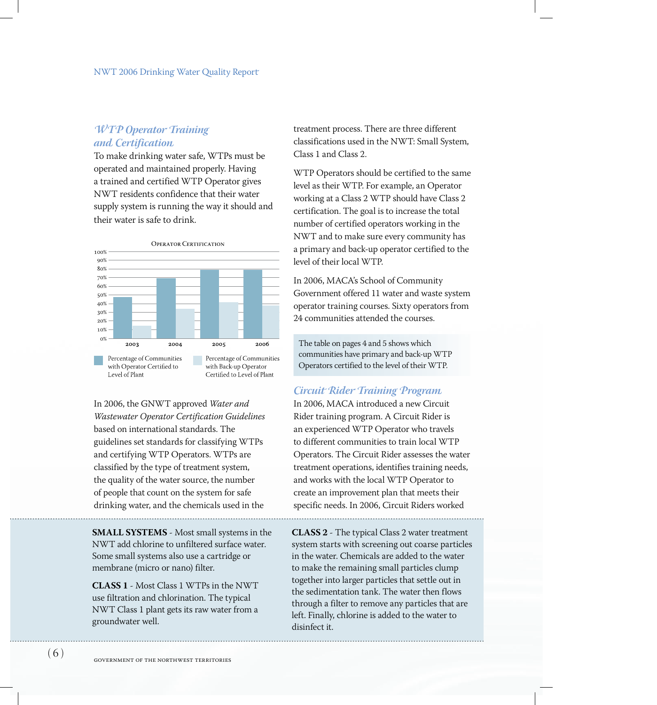# *WTP Operator Training and Certification*

To make drinking water safe, WTPs must be operated and maintained properly. Having a trained and certified WTP Operator gives NWT residents confidence that their water supply system is running the way it should and their water is safe to drink.



In 2006, the GNWT approved *Water and Wastewater Operator Certification Guidelines* based on international standards. The guidelines set standards for classifying WTPs and certifying WTP Operators. WTPs are classified by the type of treatment system, the quality of the water source, the number of people that count on the system for safe drinking water, and the chemicals used in the

**Small systems** - Most small systems in the NWT add chlorine to unfiltered surface water. Some small systems also use a cartridge or membrane (micro or nano) filter.

**Class 1** - Most Class 1 WTPs in the NWT use filtration and chlorination. The typical NWT Class 1 plant gets its raw water from a groundwater well.

treatment process. There are three different classifications used in the NWT: Small System, Class 1 and Class 2.

WTP Operators should be certified to the same level as their WTP. For example, an Operator working at a Class 2 WTP should have Class 2 certification. The goal is to increase the total number of certified operators working in the NWT and to make sure every community has a primary and back-up operator certified to the level of their local WTP.

In 2006, MACA's School of Community Government offered 11 water and waste system operator training courses. Sixty operators from 24 communities attended the courses.

The table on pages 4 and 5 shows which communities have primary and back-up WTP Operators certified to the level of their WTP.

#### *Circuit Rider Training Program*

In 2006, MACA introduced a new Circuit Rider training program. A Circuit Rider is an experienced WTP Operator who travels to different communities to train local WTP Operators. The Circuit Rider assesses the water treatment operations, identifies training needs, and works with the local WTP Operator to create an improvement plan that meets their specific needs. In 2006, Circuit Riders worked

**Class 2** - The typical Class 2 water treatment system starts with screening out coarse particles in the water. Chemicals are added to the water to make the remaining small particles clump together into larger particles that settle out in the sedimentation tank. The water then flows through a filter to remove any particles that are left. Finally, chlorine is added to the water to disinfect it.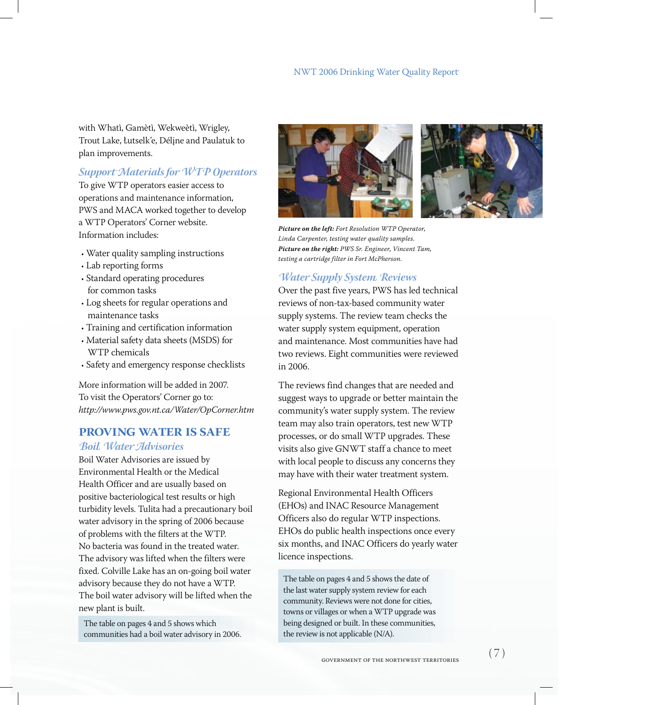with Whatì, Gamètì, Wekweètì, Wrigley, Trout Lake, łutselk'e, Délįne and Paulatuk to plan improvements.

# *Support Materials for WTP Operators*

To give WTP operators easier access to operations and maintenance information, PWS and MACA worked together to develop a WTP Operators' Corner website. Information includes:

- Water quality sampling instructions •
- Lab reporting forms •
- Standard operating procedures for common tasks
- Log sheets for regular operations and maintenance tasks
- Training and certification information •
- Material safety data sheets (MSDS) for WTP chemicals
- Safety and emergency response checklists •

More information will be added in 2007. To visit the Operators' Corner go to: *http://www.pws.gov.nt.ca/Water/OpCorner.htm*

# **Proving Water is Safe**

#### *Boil Water Advisories*

Boil Water Advisories are issued by Environmental Health or the Medical Health Officer and are usually based on positive bacteriological test results or high turbidity levels. Tulita had a precautionary boil water advisory in the spring of 2006 because of problems with the filters at the WTP. No bacteria was found in the treated water. The advisory was lifted when the filters were fixed. Colville Lake has an on-going boil water advisory because they do not have a WTP. The boil water advisory will be lifted when the new plant is built.

The table on pages 4 and 5 shows which communities had a boil water advisory in 2006.



*Picture on the left: Fort Resolution WTP Operator, Linda Carpenter, testing water quality samples. Picture on the right: PWS Sr. Engineer, Vincent Tam, testing a cartridge filter in Fort McPherson.* 

# *Water Supply System Reviews*

Over the past five years, PWS has led technical reviews of non-tax-based community water supply systems. The review team checks the water supply system equipment, operation and maintenance. Most communities have had two reviews. Eight communities were reviewed in 2006.

The reviews find changes that are needed and suggest ways to upgrade or better maintain the community's water supply system. The review team may also train operators, test new WTP processes, or do small WTP upgrades. These visits also give GNWT staff a chance to meet with local people to discuss any concerns they may have with their water treatment system.

Regional Environmental Health Officers (EHOs) and INAC Resource Management Officers also do regular WTP inspections. EHOs do public health inspections once every six months, and INAC Officers do yearly water licence inspections.

The table on pages 4 and 5 shows the date of the last water supply system review for each community. Reviews were not done for cities, towns or villages or when a WTP upgrade was being designed or built. In these communities, the review is not applicable (N/A).